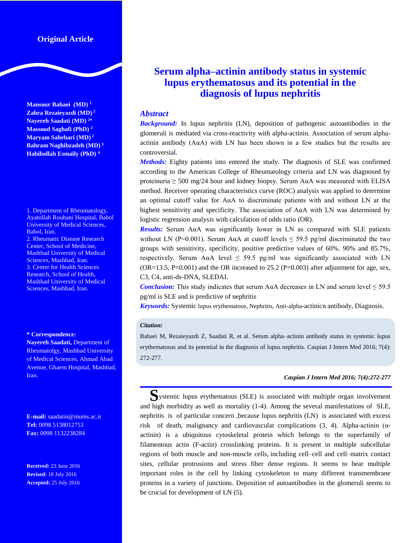## **Original Article**

**Mansour Babaei (MD) <sup>1</sup> Zahra Rezaieyazdi (MD) 2 Nayereh Saadati (MD) <sup>2</sup> Massoud Saghafi (PhD) <sup>2</sup> Maryam Sahebari (MD) <sup>2</sup> Bahram Naghibzadeh (MD) <sup>3</sup> Habibollah Esmaily (PhD) <sup>4</sup>**

1. Department of Rheumatology, Ayatollah Rouhani Hospital, Babol University of Medical Sciences, Babol, Iran. 2. Rheumatic Disease Research Center, School of Medicine, Mashhad University of Medical Sciences, Mashhad, Iran. 3. Center for Health Sciences Research, School of Health, Mashhad University of Medical Sciences, Mashhad, Iran.

#### **\* Correspondence:**

**Nayereh Saadati,** Department of Rheumatolgy, Mashhad University of Medical Sciences, Ahmad Abad Avenue, Ghaem Hospital, Mashhad, Iran.

**E-mail:** saadatin@mums.ac.ir **Tel:** 0098 5138012753 **Fax:** 0098 1132238284

**Received:** 23 June 2016 **Revised:** 18 July 2016 **Accepted:** 25 July 2016

# **Serum alpha–actinin antibody status in systemic lupus erythematosus and its potential in the diagnosis of lupus nephritis**

### *Abstract*

*Background:* In lupus nephritis (LN), deposition of pathogenic autoantibodies in the glomeruli is mediated via cross-reactivity with alpha-actinin. Association of serum alphaactinin antibody (AαA) with LN has been shown in a few studies but the results are controversial.

*Methods:* Eighty patients into entered the study. The diagnosis of SLE was confirmed according to the American College of Rheumatology criteria and LN was diagnosed by proteinuria  $\geq$  500 mg/24 hour and kidney biopsy. Serum A $\alpha$ A was measured with ELISA method. Receiver operating characteristics curve (ROC) analysis was applied to determine an optimal cutoff value for AαA to discriminate patients with and without LN at the highest sensitivity and specificity. The association of AαA with LN was determined by logistic regression analysis with calculation of odds ratio (OR).

*Results:* Serum AαA was significantly lower in LN as compared with SLE patients without LN (P=0.001). Serum A $\alpha$ A at cutoff levels  $\leq$  59.5 pg/ml discriminated the two groups with sensitivity, specificity, positive predictive values of 60%. 90% and 85.7%, respectively. Serum A $\alpha$ A level  $\leq$  59.5 pg/ml was significantly associated with LN  $(OR=13.5, P=0.001)$  and the OR increased to 25.2 (P=0.003) after adjustment for age, sex, C3, C4, anti-ds-DNA, SLEDAI.

*Conclusion:* This study indicates that serum A $\alpha$ A decreases in LN and serum level  $\leq$  59.5 pg/ml is SLE and is predictive of nephritis

*Keywords:* Systemic lupus erythematous, Nephritis, Anti-alpha-actinicn antibody, Diagnosis.

#### *Citation:*

Babaei M, Rezaieyazdi Z, Saadati R, et al. Serum alpha–actinin antibody status in systemic lupus erythematosus and its potential in the diagnosis of lupus nephritis. Caspian J Intern Med 2016; 7(4): 272-277.

#### *Caspian J Intern Med 2016; 7(4):272-277*

**S**ystemic lupus erythematous (SLE) is associated with multiple organ involvement and high morbidity as well as mortality (1-4). Among the several manifestations of SLE, nephritis is of particular concern ,because lupus nephritis (LN) is associated with excess risk of death, malignancy and cardiovascular complications  $(3, 4)$ . Alpha-actinin  $(\alpha$ actinin) is a ubiquitous cytoskeletal protein which belongs to the superfamily of filamentous actin (F-actin) crosslinking proteins. It is present in multiple subcellular regions of both muscle and non-muscle cells, including cell–cell and cell–matrix contact sites, cellular protrusions and stress fiber dense regions. It seems to bear multiple important roles in the cell by linking cytoskeleton to many different transmembrane proteins in a variety of junctions. Deposition of autoantibodies in the glomeruli seems to be crucial for development of LN (5).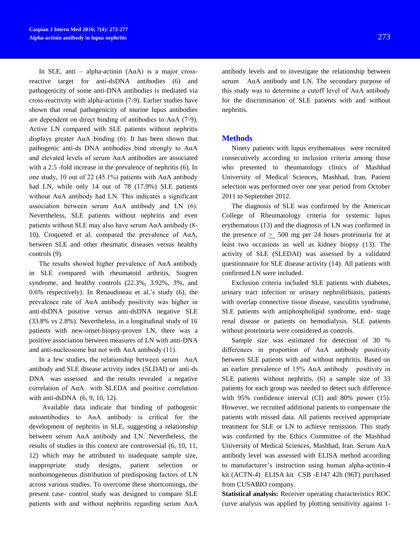In SLE, anti – alpha-actinin (A $\alpha$ A) is a major crossreactive target for anti-dsDNA antibodies (6) and pathogenicity of some anti-DNA antibodies is mediated via cross-reactivity with alpha-actinin (7-9). Earlier studies have shown that renal pathogenicity of murine lupus antibodies are dependent on direct binding of antibodies to AαA (7-9). Active LN compared with SLE patients without nephritis displays greater A $\alpha$ A binding (6). It has been shown that pathogenic anti-ds DNA antibodies bind strongly to AαA and elevated levels of serum AαA antibodies are associated with a 2.5 -fold increase in the prevalence of nephritis (6). In one study, 10 out of 22 (45.1%) patients with A $\alpha$ A antibody had LN, while only 14 out of 78 (17.9%) SLE patients without AαA antibody had LN. This indicates a significant association between serum AαA antibody and LN (6). Nevertheless, SLE patients without nephritis and even patients without SLE may also have serum AαA antibody (8- 10). Croqueted et al. compared the prevalence of AαA, between SLE and other rheumatic diseases versus healthy controls (9).

The results showed higher prevalence of AαA antibody in SLE compared with rheumatoid arthritis, Siogren syndrome, and healthy controls (22.3%, 3.92%, 3%, and 0.6% respectively). In Renaudineau et al,'s study (6), the prevalence rate of AαA antibody positivity was higher in anti-dsDNA positive versus anti-dsDNA negative SLE (33.8% vs 2.8%). Nevertheless, in a longitudinal study of 16 patients with new-onset-biopsy-proven LN, there was a positive association between measures of LN with anti-DNA and anti-nucleosome but not with  $A\alpha A$  antibody (11).

In a few studies, the relationship between serum AαA antibody and SLE disease activity index (SLDAI) or anti-ds DNA was assessed and the results revealed a negative correlation of AαA with SLEDA and positive correlation with anti-dsDNA (6, 9, 10, 12).

 Available data indicate that binding of pathogenic autoantibodies to AαA antibody is critical for the development of nephritis in SLE, suggesting a relationship between serum AαA antibody and LN. Nevertheless, the results of studies in this context are controversial (6, 10, 11, 12) which may be attributed to inadequate sample size, inappropriate study designs, patient selection nonhomogeneous distribution of predisposing factors of LN across various studies. To overcome these shortcomings, the present case- control study was designed to compare SLE patients with and without nephritis regarding serum AαA

antibody levels and to investigate the relationship between serum AαA antibody and LN. The secondary purpose of this study was to determine a cutoff level of  $A\alpha A$  antibody for the discrimination of SLE patients with and without nephritis.

### **Methods**

Ninety patients with lupus erythematous were recruited consecutively according to inclusion criteria among those who presented to rheumatology clinics of Mashhad University of Medical Sciences, Mashhad, Iran, Patient selection was performed over one year period from October 2011 to September 2012.

The diagnosis of SLE was confirmed by the American College of Rheumatology criteria for systemic lupus erythematous (13) and the diagnosis of LN was confirmed in the presence of  $> 500$  mg per 24 hours proteinuria for at least two occasions as well as kidney biopsy (13). The activity of SLE (SLEDAI) was assessed by a validated questionnaire for SLE disease activity (14). All patients with confirmed LN were included.

Exclusion criteria included SLE patients with diabetes, urinary tract infection or urinary nephrolithiasis, patients with overlap connective tissue disease, vasculitis syndrome, SLE patients with antiphospholipid syndrome, end- stage renal disease or patients on hemodialysis. SLE patients without proteinuria were considered as controls.

Sample size was estimated for detection of 30 % differences in proportion of AαA antibody positivity between SLE patients with and without nephritis. Based on an earlier prevalence of 15% AαA antibody positivity in SLE patients without nephritis, (6) a sample size of 33 patients for each group was needed to detect such difference with 95% confidence interval (CI) and 80% power (15). However, we recruited additional patients to compensate the patients with missed data. All patients received appropriate treatment for SLE or LN to achieve remission. This study was confirmed by the Ethics Committee of the Mashhad University of Medical Sciences, Mashhad, Iran. Serum AαA antibody level was assessed with ELISA method according to manufacturer's instruction using human alpha-actinin-4 kit (ACTN-4) ELISA kit CSB -E147 42h (96T) purchased from CUSABIO company.

**Statistical analysis:** Receiver operating characteristics ROC curve analysis was applied by plotting sensitivity against 1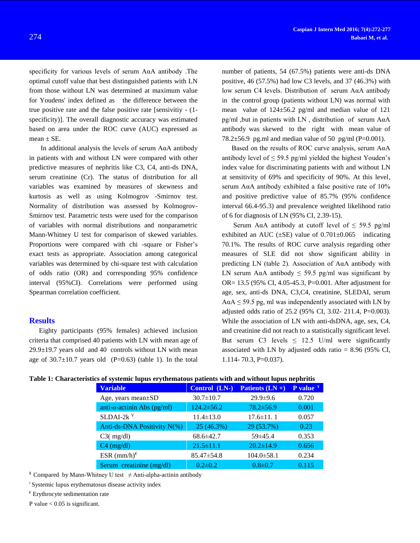specificity for various levels of serum AαA antibody .The optimal cutoff value that best distinguished patients with LN from those without LN was determined at maximum value for Youdens' index defined as the difference between the true positive rate and the false positive rate [sensivitiy - (1 specificity)]. The overall diagnostic accuracy was estimated based on area under the ROC curve (AUC) expressed as mean  $\pm$  SE.

In additional analysis the levels of serum  $A\alpha A$  antibody in patients with and without LN were compared with other predictive measures of nephritis like C3, C4, anti-ds DNA, serum creatinine (Cr). The status of distribution for all variables was examined by measures of skewness and kurtosis as well as using Kolmogrov -Smirnov test. Normality of distribution was assessed by Kolmogrov-Smirnov test. Parametric tests were used for the comparison of variables with normal distributions and nonparametric Mann-Whitney U test for comparison of skewed variables. Proportions were compared with chi -square or Fisher's exact tests as appropriate. Association among categorical variables was determined by chi-square test with calculation of odds ratio (OR) and corresponding 95% confidence interval (95%CI). Correlations were performed using Spearman correlation coefficient.

## **Results**

Eighty participants (95% females) achieved inclusion criteria that comprised 40 patients with LN with mean age of  $29.9\pm19.7$  years old and 40 controls without LN with mean age of  $30.7\pm10.7$  years old (P=0.63) (table 1). In the total

number of patients, 54 (67.5%) patients were anti-ds DNA positive, 46 (57.5%) had low C3 levels, and 37 (46.3%) with low serum C4 levels. Distribution of serum AαA antibody in the control group (patients without LN) was normal with mean value of 124±56.2 pg/ml and median value of 121 pg/ml ,but in patients with LN , distribution of serum AαA antibody was skewed to the right with mean value of 78.2 $\pm$ 56.9 pg.ml and median value of 50 pg/ml (P=0.001).

Based on the results of ROC curve analysis, serum AαA antibody level of  $\leq$  59.5 pg/ml yielded the highest Youden's index value for discriminating patients with and without LN at sensitivity of 69% and specificity of 90%. At this level, serum AαA antibody exhibited a false positive rate of 10% and positive predictive value of 85.7% (95% confidence interval 66.4-95.3) and prevalence weighted likelihood ratio of 6 for diagnosis of LN (95% CI, 2.39-15).

Serum A $\alpha$ A antibody at cutoff level of  $\leq$  59.5 pg/ml exhibited an AUC  $(\pm SE)$  value of 0.701 $\pm$ 0.065 indicating 70.1%. The results of ROC curve analysis regarding other measures of SLE did not show significant ability in predicting LN (table 2). Association of AαA antibody with LN serum A $\alpha$ A antibody  $\leq$  59.5 pg/ml was significant by OR= 13.5 (95% CI, 4.05-45.3, P=0.001. After adjustment for age, sex, anti-ds DNA, C3,C4, creatinine, SLEDAI, serum  $A\alpha A \leq 59.5$  pg, ml was independently associated with LN by adjusted odds ratio of 25.2 (95% CI, 3.02- 211.4, P=0.003). While the association of LN with anti-dsDNA, age, sex, C4, and creatinine did not reach to a statistically significant level. But serum C3 levels  $\leq$  12.5 U/ml were significantly associated with LN by adjusted odds ratio = 8.96 (95% CI, 1.114- 70.3, P=0.037).

|  | Table 1: Characteristics of systemic lupus erythematous patients with and without lupus nephritis |  |  |  |  |
|--|---------------------------------------------------------------------------------------------------|--|--|--|--|
|  |                                                                                                   |  |  |  |  |

| <b>Variable</b>                     | Control (LN-)    | Patients $(LN +)$ | <b>P</b> value $*$ |
|-------------------------------------|------------------|-------------------|--------------------|
| Age, years mean $\pm SD$            | $30.7 \pm 10.7$  | $29.9 \pm 9.6$    | 0.720              |
| anti- $\alpha$ -actinin Abs (pg/ml) | $124.2 \pm 56.2$ | $78.2 \pm 56.9$   | 0.001              |
| $SLDAI-2k$ <sup>V</sup>             | $11.4 \pm 13.0$  | $17.6 \pm 11.1$   | 0.057              |
| Anti-ds-DNA Positivity N(%)         | 25 (46.3%)       | 29 (53.7%)        | 0.23               |
| $C3$ ( $mg/dl$ )                    | $68.6 \pm 42.7$  | $59\pm 45.4$      | 0.353              |
| $C4$ (mg/dl)                        | $21.5 \pm 11.1$  | $20.2 \pm 14.9$   | 0.656              |
| ESR $(mm/h)^{\epsilon}$             | $85.47 \pm 54.8$ | $104.0 \pm 58.1$  | 0.234              |
| Serum creatinine (mg/dl)            | $0.2 \pm 0.2$    | $0.8 \pm 0.7$     | 0.115              |

<sup>¥</sup> Compared by Mann-Whitney U test  $\neq$  Anti-alpha-actinin antibody

҂ Systemic lupus erythematosus disease activity index

 $\epsilon$  Erythrocyte sedimentation rate

P value  $< 0.05$  is significant.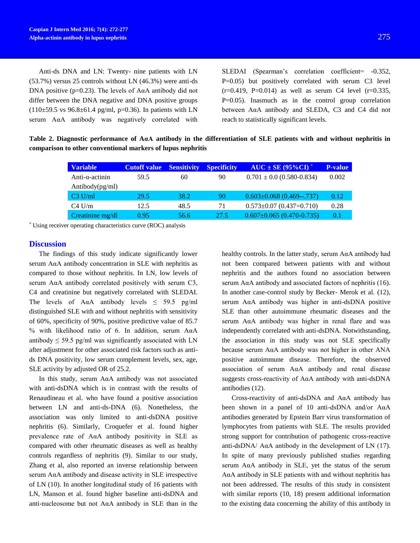Anti-ds DNA and LN: Twenty- nine patients with LN (53.7%) versus 25 controls without LN (46.3%) were anti-ds DNA positive ( $p=0.23$ ). The levels of A $\alpha$ A antibody did not differ between the DNA negative and DNA positive groups  $(110±59.5 \text{ vs } 96.8±61.4 \text{ pg/ml}, \text{p=0.36}).$  In patients with LN

serum AαA antibody was negatively correlated with

SLEDAI (Spearman's correlation coefficient= -0.352, P=0.05) but positively correlated with serum C3 level  $(r=0.419, P=0.014)$  as well as serum C4 level  $(r=0.335, P=0.014)$  $P=0.05$ ). Inasmuch as in the control group correlation between AαA antibody and SLEDA, C3 and C4 did not reach to statistically significant levels.

**Table 2. Diagnostic performance of AαA antibody in the differentiation of SLE patients with and without nephritis in comparison to other conventional markers of lupus nephritis**

| <b>Variable</b>         | <b>Cutoff value</b> Sensitivity |      | <b>Specificity</b> | $AUC \pm SE$ (95%CI) <sup>*</sup> | <b>P-value</b> |
|-------------------------|---------------------------------|------|--------------------|-----------------------------------|----------------|
| Anti- $\alpha$ -actinin | 59.5                            | 60   | 90                 | $0.701 \pm 0.0$ (0.580-0.834)     | 0.002          |
| Antibody(pg/ml)         |                                 |      |                    |                                   |                |
| $C3$ U/ml               | 29.5                            | 38.2 | 90                 | $0.603 \pm 0.068$ (0.469--.737)   | 0.12           |
| $C4$ U/m                | 12.5                            | 48.5 | 71                 | $0.573 \pm 0.07$ (0.437=0.710)    | 0.28           |
| Creatinine mg/dl        | 0.95                            | 56.6 | 27.5               | $0.607 \pm 0.065$ (0.470-0.735)   | 0.1            |

\* Using receiver operating characteristics curve (ROC) analysis

#### **Discussion**

The findings of this study indicate significantly lower serum AαA antibody concentration in SLE with nephritis as compared to those without nephritis. In LN, low levels of serum AαA antibody correlated positively with serum C3, C4 and creatinine but negatively correlated with SLEDAI. The levels of A $\alpha$ A antibody levels  $\leq$  59.5 pg/ml distinguished SLE with and without nephritis with sensitivity of 60%, specificity of 90%, positive predictive value of 85.7 % with likelihood ratio of 6. In addition, serum AαA antibody  $\leq$  59.5 pg/ml was significantly associated with LN after adjustment for other associated risk factors such as antids DNA positivity, low serum complement levels, sex, age, SLE activity by adjusted OR of 25.2.

In this study, serum AαA antibody was not associated with anti-dsDNA which is in contrast with the results of Renaudineau et al. who have found a positive association between LN and anti-ds-DNA (6). Nonetheless, the association was only limited to anti-dsDNA positive nephritis (6). Similarly, Croquefer et al. found higher prevalence rate of AαA antibody positivity in SLE as compared with other rheumatic diseases as well as healthy controls regardless of nephritis (9). Similar to our study, Zhang et al, also reported an inverse relationship between serum AαA antibody and disease activity in SLE irrespective of LN (10). In another longitudinal study of 16 patients with LN, Manson et al. found higher baseline anti-dsDNA and anti-nucleosome but not  $A\alpha A$  antibody in SLE than in the healthy controls. In the latter study, serum AαA antibody had not been compared between patients with and without nephritis and the authors found no association between serum AαA antibody and associated factors of nephritis (16). In another case-control study by Becker- Merok et al. (12), serum AαA antibody was higher in anti-dsDNA positive SLE than other autoimmune rheumatic diseases and the serum AαA antibody was higher in renal flare and was independently correlated with anti-dsDNA. Notwithstanding, the association in this study was not SLE specifically because serum AαA antibody was not higher in other ANA positive autoimmune disease. Therefore, the observed association of serum AαA antibody and renal disease suggests cross-reactivity of AαA antibody with anti-dsDNA antibodies (12).

Cross-reactivity of anti-dsDNA and AαA antibody has been shown in a panel of 10 anti-dsDNA and/or AαA antibodies generated by Epstein Barr virus transformation of lymphocytes from patients with SLE. The results provided strong support for contribution of pathogenic cross-reactive anti-dsDNA/ AαA antibody in the development of LN (17). In spite of many previously published studies regarding serum AαA antibody in SLE, yet the status of the serum AαA antibody in SLE patients with and without nephritis has not been addressed. The results of this study in consistent with similar reports (10, 18) present additional information to the existing data concerning the ability of this antibody in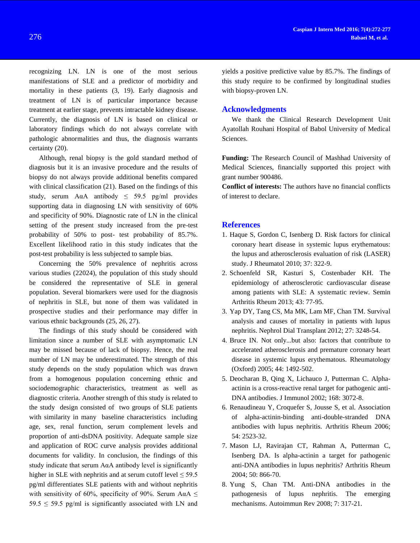recognizing LN. LN is one of the most serious manifestations of SLE and a predictor of morbidity and mortality in these patients (3, 19). Early diagnosis and treatment of LN is of particular importance because treatment at earlier stage, prevents intractable kidney disease. Currently, the diagnosis of LN is based on clinical or laboratory findings which do not always correlate with pathologic abnormalities and thus, the diagnosis warrants certainty (20).

Although, renal biopsy is the gold standard method of diagnosis but it is an invasive procedure and the results of biopsy do not always provide additional benefits compared with clinical classification (21). Based on the findings of this study, serum A $\alpha$ A antibody  $\leq$  59.5 pg/ml provides supporting data in diagnosing LN with sensitivity of 60% and specificity of 90%. Diagnostic rate of LN in the clinical setting of the present study increased from the pre-test probability of 50% to post- test probability of 85.7%. Excellent likelihood ratio in this study indicates that the post-test probability is less subjected to sample bias.

Concerning the 50% prevalence of nephritis across various studies (22024), the population of this study should be considered the representative of SLE in general population. Several biomarkers were used for the diagnosis of nephritis in SLE, but none of them was validated in prospective studies and their performance may differ in various ethnic backgrounds (25, 26, 27).

The findings of this study should be considered with limitation since a number of SLE with asymptomatic LN may be missed because of lack of biopsy. Hence, the real number of LN may be underestimated. The strength of this study depends on the study population which was drawn from a homogenous population concerning ethnic and sociodemographic characteristics, treatment as well as diagnostic criteria. Another strength of this study is related to the study design consisted of two groups of SLE patients with similarity in many baseline characteristics including age, sex, renal function, serum complement levels and proportion of anti-dsDNA positivity. Adequate sample size and application of ROC curve analysis provides additional documents for validity. In conclusion, the findings of this study indicate that serum  $A\alpha A$  antibody level is significantly higher in SLE with nephritis and at serum cutoff level  $\leq$  59.5 pg/ml differentiates SLE patients with and without nephritis with sensitivity of 60%, specificity of 90%. Serum A $\alpha$ A  $\leq$  $59.5 \leq 59.5$  pg/ml is significantly associated with LN and yields a positive predictive value by 85.7%. The findings of this study require to be confirmed by longitudinal studies with biopsy-proven LN.

#### **Acknowledgments**

We thank the Clinical Research Development Unit Ayatollah Rouhani Hospital of Babol University of Medical Sciences.

**Funding:** The Research Council of Mashhad University of Medical Sciences, financially supported this project with grant number 900486.

**Conflict of interests:** The authors have no financial conflicts of interest to declare.

#### **References**

- 1. Haque S, Gordon C, Isenberg D. Risk factors for clinical coronary heart disease in systemic lupus erythematous: the lupus and atherosclerosis evaluation of risk (LASER) study. J Rheumatol 2010; 37: 322-9.
- 2. Schoenfeld SR, Kasturi S, Costenbader KH. The epidemiology of atherosclerotic cardiovascular disease among patients with SLE: A systematic review. Semin Arthritis Rheum 2013; 43: 77-95.
- 3. Yap DY, Tang CS, Ma MK, Lam MF, Chan TM. Survival analysis and causes of mortality in patients with lupus nephritis. Nephrol Dial Transplant 2012; 27: 3248-54.
- 4. Bruce IN. Not only...but also: factors that contribute to accelerated atherosclerosis and premature coronary heart disease in systemic lupus erythematous. Rheumatology (Oxford) 2005; 44: 1492-502.
- 5. Deocharan B, Qing X, Lichauco J, Putterman C. Alphaactinin is a cross-reactive renal target for pathogenic anti-DNA antibodies. J Immunol 2002; 168: 3072-8.
- 6. Renaudineau Y, Croquefer S, Jousse S, et al. Association of alpha-actinin-binding anti-double-stranded DNA antibodies with lupus nephritis. Arthritis Rheum 2006; 54: 2523-32.
- 7. Mason LJ, Ravirajan CT, Rahman A, Putterman C, Isenberg DA. Is alpha-actinin a target for pathogenic anti-DNA antibodies in lupus nephritis? Arthritis Rheum 2004; 50: 866-70.
- 8. Yung S, Chan TM. Anti-DNA antibodies in the pathogenesis of lupus nephritis. The emerging mechanisms. Autoimmun Rev 2008; 7: 317-21.